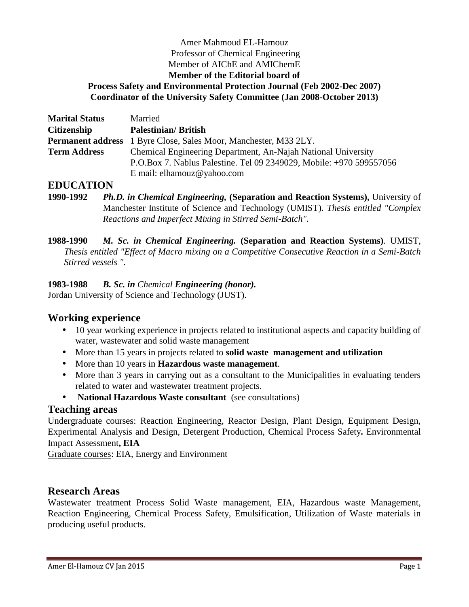#### Amer Mahmoud EL-Hamouz Professor of Chemical Engineering Member of AIChE and AMIChemE **Member of the Editorial board of Process Safety and Environmental Protection Journal (Feb 2002-Dec 2007) Coordinator of the University Safety Committee (Jan 2008-October 2013)**

| <b>Marital Status</b> | Married                                                                 |
|-----------------------|-------------------------------------------------------------------------|
| <b>Citizenship</b>    | <b>Palestinian/British</b>                                              |
|                       | <b>Permanent address</b> 1 Byre Close, Sales Moor, Manchester, M33 2LY. |
| <b>Term Address</b>   | Chemical Engineering Department, An-Najah National University           |
|                       | P.O.Box 7. Nablus Palestine. Tel 09 2349029, Mobile: +970 599557056     |
|                       | E mail: elhamouz@yahoo.com                                              |

### **EDUCATION**

**1990-1992** *Ph.D. in Chemical Engineering,* **(Separation and Reaction Systems),** University of Manchester Institute of Science and Technology (UMIST). *Thesis entitled "Complex Reactions and Imperfect Mixing in Stirred Semi-Batch".*

**1988-1990** *M. Sc. in Chemical Engineering.* **(Separation and Reaction Systems)**. UMIST, *Thesis entitled "Effect of Macro mixing on a Competitive Consecutive Reaction in a Semi-Batch Stirred vessels ".*

#### **1983-1988** *B. Sc. in Chemical Engineering (honor).*

Jordan University of Science and Technology (JUST).

# **Working experience**

- 10 year working experience in projects related to institutional aspects and capacity building of water, wastewater and solid waste management
- More than 15 years in projects related to **solid waste management and utilization**
- More than 10 years in **Hazardous waste management**.
- More than 3 years in carrying out as a consultant to the Municipalities in evaluating tenders related to water and wastewater treatment projects.
- **National Hazardous Waste consultant** (see consultations)

### **Teaching areas**

Undergraduate courses: Reaction Engineering, Reactor Design, Plant Design, Equipment Design, Experimental Analysis and Design, Detergent Production, Chemical Process Safety**.** Environmental Impact Assessment**, EIA**

Graduate courses: EIA, Energy and Environment

### **Research Areas**

Wastewater treatment Process Solid Waste management, EIA, Hazardous waste Management, Reaction Engineering, Chemical Process Safety, Emulsification, Utilization of Waste materials in producing useful products.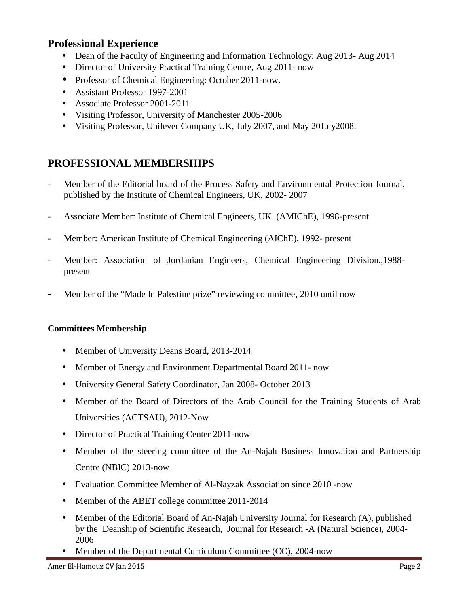# **Professional Experience**

- Dean of the Faculty of Engineering and Information Technology: Aug 2013-Aug 2014
- Director of University Practical Training Centre, Aug 2011- now
- Professor of Chemical Engineering: October 2011-now.
- Assistant Professor 1997-2001
- Associate Professor 2001-2011
- Visiting Professor, University of Manchester 2005-2006
- Visiting Professor, Unilever Company UK, July 2007, and May 20July2008.

# **PROFESSIONAL MEMBERSHIPS**

- *-* Member of the Editorial board of the Process Safety and Environmental Protection Journal, published by the Institute of Chemical Engineers, UK, 2002- 2007
- *-* Associate Member: Institute of Chemical Engineers, UK. (AMIChE), 1998-present
- *-* Member: American Institute of Chemical Engineering (AIChE), 1992- present
- *-* Member: Association of Jordanian Engineers, Chemical Engineering Division.,1988 present
- *-* Member of the "Made In Palestine prize" reviewing committee, 2010 until now

#### **Committees Membership**

- Member of University Deans Board, 2013-2014
- Member of Energy and Environment Departmental Board 2011- now
- University General Safety Coordinator, Jan 2008- October 2013
- Member of the Board of Directors of the Arab Council for the Training Students of Arab Universities (ACTSAU), 2012-Now
- Director of Practical Training Center 2011-now
- Member of the steering committee of the An-Najah Business Innovation and Partnership Centre (NBIC) 2013-now
- Evaluation Committee Member of Al-Nayzak Association since 2010 -now
- Member of the ABET college committee 2011-2014
- Member of the Editorial Board of An-Najah University Journal for Research (A), published by the Deanship of Scientific Research, Journal for Research -A (Natural Science), 2004- 2006
- Member of the Departmental Curriculum Committee (CC), 2004-now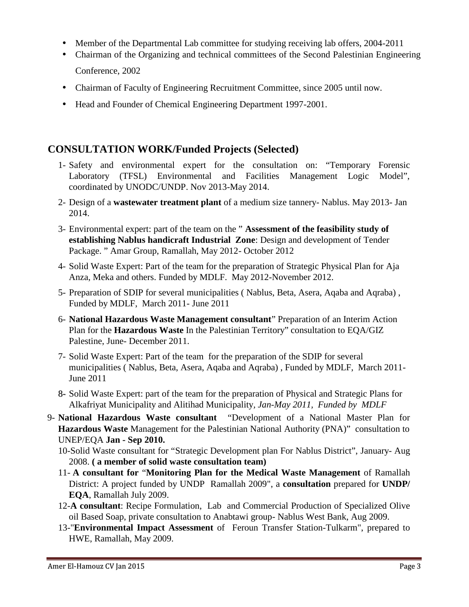- Member of the Departmental Lab committee for studying receiving lab offers, 2004-2011
- Chairman of the Organizing and technical committees of the Second Palestinian Engineering Conference, 2002
- Chairman of Faculty of Engineering Recruitment Committee, since 2005 until now.
- Head and Founder of Chemical Engineering Department 1997-2001.

# **CONSULTATION WORK/Funded Projects (Selected)**

- 1- Safety and environmental expert for the consultation on: "Temporary Forensic Laboratory (TFSL) Environmental and Facilities Management Logic Model", coordinated by UNODC/UNDP. Nov 2013-May 2014.
- 2- Design of a **wastewater treatment plant** of a medium size tannery- Nablus. May 2013- Jan 2014.
- 3- Environmental expert: part of the team on the " **Assessment of the feasibility study of establishing Nablus handicraft Industrial Zone**: Design and development of Tender Package. " Amar Group, Ramallah, May 2012- October 2012
- 4- Solid Waste Expert: Part of the team for the preparation of Strategic Physical Plan for Aja Anza, Meka and others. Funded by MDLF. May 2012-November 2012.
- 5- Preparation of SDIP for several municipalities ( Nablus, Beta, Asera, Aqaba and Aqraba) , Funded by MDLF, March 2011- June 2011
- 6- **National Hazardous Waste Management consultant**" Preparation of an Interim Action Plan for the **Hazardous Waste** In the Palestinian Territory" consultation to EQA/GIZ Palestine, June- December 2011.
- 7- Solid Waste Expert: Part of the team for the preparation of the SDIP for several municipalities ( Nablus, Beta, Asera, Aqaba and Aqraba) , Funded by MDLF, March 2011- June 2011
- 8- Solid Waste Expert: part of the team for the preparation of Physical and Strategic Plans for Alkafriyat Municipality and Alitihad Municipality*, Jan-May 2011, Funded by MDLF*
- 9- **National Hazardous Waste consultant** "Development of a National Master Plan for **Hazardous Waste** Management for the Palestinian National Authority (PNA)" consultation to UNEP/EQA **Jan - Sep 2010.**
	- 10-Solid Waste consultant for "Strategic Development plan For Nablus District", January- Aug 2008. **( a member of solid waste consultation team)**
	- 11- **A consultant for** "**Monitoring Plan for the Medical Waste Management** of Ramallah District: A project funded by UNDP Ramallah 2009", a **consultation** prepared for **UNDP/ EQA**, Ramallah July 2009.
	- 12-**A consultant**: Recipe Formulation, Lab and Commercial Production of Specialized Olive oil Based Soap, private consultation to Anabtawi group- Nablus West Bank, Aug 2009.
	- 13-"**Environmental Impact Assessment** of Feroun Transfer Station-Tulkarm", prepared to HWE, Ramallah, May 2009.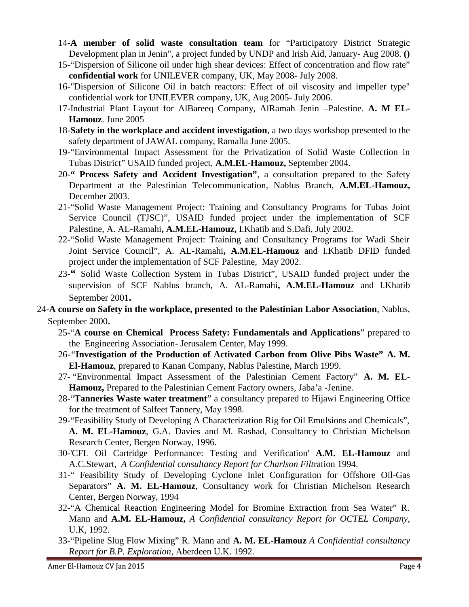- 14-**A member of solid waste consultation team** for "Participatory District Strategic Development plan in Jenin", a project funded by UNDP and Irish Aid, January- Aug 2008. **()**
- 15-"Dispersion of Silicone oil under high shear devices: Effect of concentration and flow rate" **confidential work** for UNILEVER company, UK, May 2008- July 2008.
- 16-"Dispersion of Silicone Oil in batch reactors: Effect of oil viscosity and impeller type" confidential work for UNILEVER company, UK, Aug 2005- July 2006.
- 17-Industrial Plant Layout for AlBareeq Company, AlRamah Jenin –Palestine. **A. M EL- Hamouz**. June 2005
- 18-**Safety in the workplace and accident investigation**, a two days workshop presented to the safety department of JAWAL company, Ramalla June 2005.
- 19-"Environmental Impact Assessment for the Privatization of Solid Waste Collection in Tubas District" USAID funded project, **A.M.EL-Hamouz,** September 2004.
- 20-**" Process Safety and Accident Investigation"**, a consultation prepared to the Safety Department at the Palestinian Telecommunication, Nablus Branch, **A.M.EL-Hamouz,** December 2003.
- 21-"Solid Waste Management Project: Training and Consultancy Programs for Tubas Joint Service Council (TJSC)", USAID funded project under the implementation of SCF Palestine, A. AL-Ramahi**, A.M.EL-Hamouz,** I.Khatib and S.Dafi, July 2002.
- 22-"Solid Waste Management Project: Training and Consultancy Programs for Wadi Sheir Joint Service Council", A. AL-Ramahi**, A.M.EL-Hamouz** and I.Khatib DFID funded project under the implementation of SCF Palestine, May 2002.
- 23-**"** Solid Waste Collection System in Tubas District", USAID funded project under the supervision of SCF Nablus branch, A. AL-Ramahi**, A.M.EL-Hamouz** and I.Khatib September 2001**.**
- 24-**A course on Safety in the workplace, presented to the Palestinian Labor Association**, Nablus, September 2000.
	- 25-"**A course on Chemical Process Safety: Fundamentals and Applications**" prepared to the Engineering Association- Jerusalem Center, May 1999.
	- 26-*"***Investigation of the Production of Activated Carbon from Olive Pibs Waste" A. M. El-Hamouz**, prepared to Kanan Company, Nablus Palestine, March 1999.
	- 27- "Environmental Impact Assessment of the Palestinian Cement Factory" **A. M. EL- Hamouz,** Prepared to the Palestinian Cement Factory owners, Jaba'a -Jenine.
	- 28-"**Tanneries Waste water treatment**" a consultancy prepared to Hijawi Engineering Office for the treatment of Salfeet Tannery, May 1998.
	- 29-"Feasibility Study of Developing A Characterization Rig for Oil Emulsions and Chemicals", **A. M. EL-Hamouz**, G.A. Davies and M. Rashad, Consultancy to Christian Michelson Research Center, Bergen Norway, 1996.
	- 30-'CFL Oil Cartridge Performance: Testing and Verification' **A.M. EL-Hamouz** and A.C.Stewart, *A Confidential consultancy Report for Charlson Filt*ration 1994.
	- 31-" Feasibility Study of Developing Cyclone Inlet Configuration for Offshore Oil-Gas Separators" **A. M. EL-Hamouz**, Consultancy work for Christian Michelson Research Center, Bergen Norway, 1994
	- 32-"A Chemical Reaction Engineering Model for Bromine Extraction from Sea Water" R. Mann and **A.M. EL-Hamouz,** *A Confidential consultancy Report for OCTEL Company*, U.K, 1992.
	- 33-"Pipeline Slug Flow Mixing" R. Mann and **A. M. EL-Hamouz** *A Confidential consultancy Report for B.P. Exploration*, Aberdeen U.K. 1992.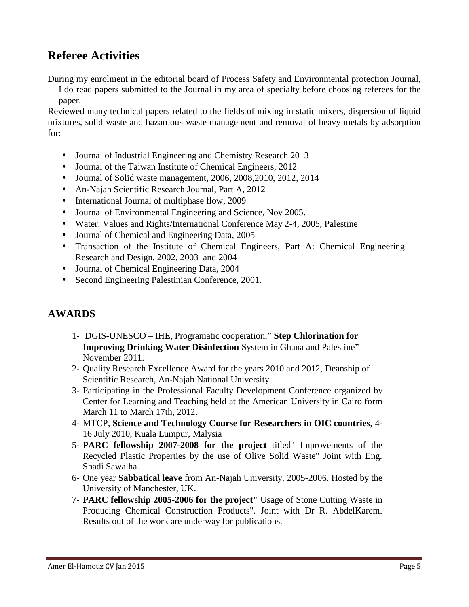# **Referee Activities**

During my enrolment in the editorial board of Process Safety and Environmental protection Journal,

I do read papers submitted to the Journal in my area of specialty before choosing referees for the paper.

Reviewed many technical papers related to the fields of mixing in static mixers, dispersion of liquid mixtures, solid waste and hazardous waste management and removal of heavy metals by adsorption for:

- Journal of Industrial Engineering and Chemistry Research 2013
- Journal of the Taiwan Institute of Chemical Engineers, 2012
- Journal of Solid waste management, 2006, 2008,2010, 2012, 2014
- An-Najah Scientific Research Journal, Part A, 2012
- International Journal of multiphase flow, 2009
- Journal of Environmental Engineering and Science, Nov 2005.
- Water: Values and Rights/International Conference May 2-4, 2005, Palestine
- Journal of Chemical and Engineering Data, 2005
- Transaction of the Institute of Chemical Engineers, Part A: Chemical Engineering Research and Design, 2002, 2003 and 2004
- Journal of Chemical Engineering Data, 2004
- Second Engineering Palestinian Conference, 2001.

# **AWARDS**

- 1- DGIS-UNESCO IHE, Programatic cooperation," **Step Chlorination for Improving Drinking Water Disinfection** System in Ghana and Palestine" November 2011.
- 2- Quality Research Excellence Award for the years 2010 and 2012, Deanship of Scientific Research, An-Najah National University.
- 3- Participating in the Professional Faculty Development Conference organized by Center for Learning and Teaching held at the American University in Cairo form March 11 to March 17th, 2012.
- 4- MTCP, **Science and Technology Course for Researchers in OIC countries**, 4- 16 July 2010, Kuala Lumpur, Malysia
- 5- **PARC fellowship 2007-2008 for the project** titled" Improvements of the Recycled Plastic Properties by the use of Olive Solid Waste" Joint with Eng. Shadi Sawalha.
- 6- One year **Sabbatical leave** from An-Najah University, 2005-2006. Hosted by the University of Manchester, UK.
- 7- **PARC fellowship 2005-2006 for the project"** Usage of Stone Cutting Waste in Producing Chemical Construction Products". Joint with Dr R. AbdelKarem. Results out of the work are underway for publications.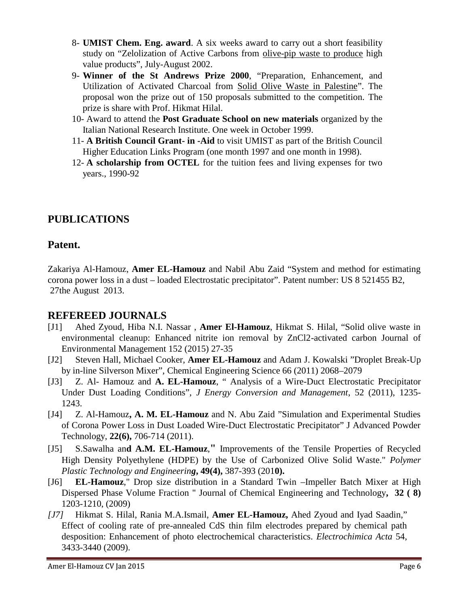- 8- **UMIST Chem. Eng. award**. A six weeks award to carry out a short feasibility study on "Zelolization of Active Carbons from olive-pip waste to produce high value products", July-August 2002.
- 9- **Winner of the St Andrews Prize 2000**, "Preparation, Enhancement, and Utilization of Activated Charcoal from Solid Olive Waste in Palestine". The proposal won the prize out of 150 proposals submitted to the competition. The prize is share with Prof. Hikmat Hilal.
- 10- Award to attend the **Post Graduate School on new materials** organized by the Italian National Research Institute. One week in October 1999.
- 11- **A British Council Grant- in -Aid** to visit UMIST as part of the British Council Higher Education Links Program (one month 1997 and one month in 1998).
- 12- **A scholarship from OCTEL** for the tuition fees and living expenses for two years., 1990-92

# **PUBLICATIONS**

### **Patent.**

Zakariya Al-Hamouz, **Amer EL-Hamouz** and Nabil Abu Zaid "System and method for estimating corona power loss in a dust – loaded Electrostatic precipitator". Patent number: US 8 521455 B2, 27the August 2013.

# **REFEREED JOURNALS**

- [J1] Ahed Zyoud, Hiba N.I. Nassar , **Amer El-Hamouz**, Hikmat S. Hilal, "Solid olive waste in environmental cleanup: Enhanced nitrite ion removal by ZnCl2-activated carbon Journal of Environmental Management 152 (2015) 27-35
- [J2] Steven Hall, Michael Cooker, **Amer EL-Hamouz** and Adam J. Kowalski "Droplet Break-Up by in-line Silverson Mixer", Chemical Engineering Science 66 (2011) 2068–2079
- [J3] Z. Al- Hamouz and **A. EL-Hamouz**, " Analysis of a Wire-Duct Electrostatic Precipitator Under Dust Loading Conditions", *J Energy Conversion and Management*, 52 (2011), 1235- 1243.
- [J4] Z. Al-Hamouz**, A. M. EL-Hamouz** and N. Abu Zaid "Simulation and Experimental Studies of Corona Power Loss in Dust Loaded Wire-Duct Electrostatic Precipitator" J Advanced Powder Technology, **22(6),** 706-714 (2011).
- [J5] S.Sawalha an**d A.M. EL-Hamouz**,**"** Improvements of the Tensile Properties of Recycled High Density Polyethylene (HDPE) by the Use of Carbonized Olive Solid Waste." *Polymer Plastic Technology and Engineering***, 49(4),** 387-393 (201**0).**
- [J6] **EL-Hamouz**," Drop size distribution in a Standard Twin –Impeller Batch Mixer at High Dispersed Phase Volume Fraction " Journal of Chemical Engineering and Technology**, 32 ( 8)** 1203-1210, (2009)
- *[J7]* Hikmat S. Hilal, Rania M.A.Ismail, **Amer EL-Hamouz,** Ahed Zyoud and Iyad Saadin," Effect of cooling rate of pre-annealed CdS thin film electrodes prepared by chemical path desposition: Enhancement of photo electrochemical characteristics. *Electrochimica Acta* 54, 3433-3440 (2009).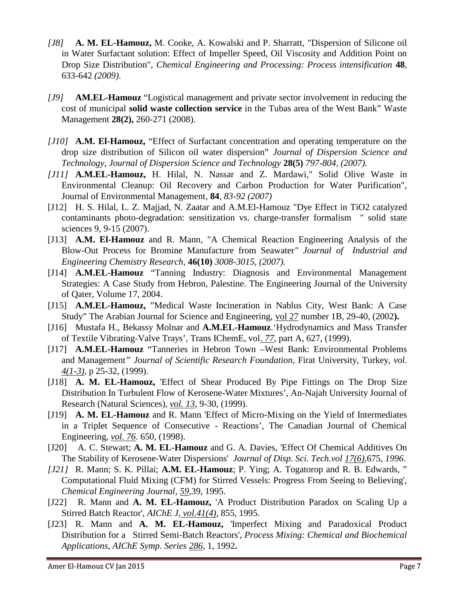- *[J8]* **A. M. EL-Hamouz,** M. Cooke, A. Kowalski and P. Sharratt, "Dispersion of Silicone oil in Water Surfactant solution: Effect of Impeller Speed, Oil Viscosity and Addition Point on Drop Size Distribution", *Chemical Engineering and Processing: Process intensification* **48**, 633-642 *(2009)*.
- *[J9]* **AM.EL-Hamouz** "Logistical management and private sector involvement in reducing the cost of municipal **solid waste collection service** in the Tubas area of the West Bank" Waste Management **28(2),** 260-271 (2008).
- *[J10]* **A.M. El-Hamouz,** "Effect of Surfactant concentration and operating temperature on the drop size distribution of Silicon oil water dispersion" *Journal of Dispersion Science and Technology*, *Journal of Dispersion Science and Technology* **28(5)** *797-804, (2007).*
- *[J11]* **A.M.EL-Hamouz,** H. Hilal, N. Nassar and Z. Mardawi," Solid Olive Waste in Environmental Cleanup: Oil Recovery and Carbon Production for Water Purification", Journal of Environmental Management*,* **84***, 83-92 (2007)*
- [J12] H. S. Hilal, L. Z. Majjad, N. Zaatar and A.M.El-Hamouz "Dye Effect in TiO2 catalyzed contaminants photo-degradation: sensitization vs. charge-transfer formalism " solid state sciences 9, 9-15 (2007).
- [J13] **A.M. El-Hamouz** and R. Mann*,* "A Chemical Reaction Engineering Analysis of the Blow-Out Process for Bromine Manufacture from Seawater*" Journal of Industrial and Engineering Chemistry Research,* **46(10)** *3008-3015, (2007).*
- [J14] **A.M.EL-Hamouz** "Tanning Industry: Diagnosis and Environmental Management Strategies: A Case Study from Hebron, Palestine. The Engineering Journal of the University of Qater, Volume 17, 2004.
- [J15] **A.M.EL-Hamouz,** "Medical Waste Incineration in Nablus City, West Bank: A Case Study" The Arabian Journal for Science and Engineering, vol 27 number 1B, 29-40, (2002**).**
- [J16] Mustafa H., Bekassy Molnar and **A.M.EL-Hamouz**.'Hydrodynamics and Mass Transfer of Textile Vibrating-Valve Trays', Trans IChemE, vol. *77*, part A, 627, (1999).
- [J17] **A.M.EL-Hamouz** "Tanneries in Hebron Town –West Bank: Environmental Problems and Management*" Journal of Scientific Research Foundation*, Firat University, Turkey, *vol. 4(1-3),* p 25-32, (1999).
- [J18] **A. M. EL-Hamouz,** 'Effect of Shear Produced By Pipe Fittings on The Drop Size Distribution In Turbulent Flow of Kerosene-Water Mixtures', An-Najah University Journal of Research (Natural Sciences), *vol. 13*, 9-30, (1999).
- [J19] **A. M. EL-Hamouz** and R. Mann 'Effect of Micro-Mixing on the Yield of Intermediates in a Triplet Sequence of Consecutive - Reactions', The Canadian Journal of Chemical Engineering, *vol. 76*. 650, (1998).
- [J20] A. C. Stewart; **A. M. EL-Hamouz** and G. A. Davies, 'Effect Of Chemical Additives On The Stability of Kerosene-Water Dispersions' *Journal of Disp. Sci. Tech.vol 17(6),*675, *1996*.
- *[J21]* R. Mann; S. K. Pillai; **A.M. EL-Hamouz**; P. Ying; A. Togatorop and R. B. Edwards, " Computational Fluid Mixing (CFM) for Stirred Vessels: Progress From Seeing to Believing', *Chemical Engineering Journal, 59,*39, 1995.
- [J22] R. Mann and **A. M. EL-Hamouz,** 'A Product Distribution Paradox on Scaling Up a Stirred Batch Reactor', *AIChE J, vol.41(4)*, 855, 1995.
- [J23] R. Mann and **A. M. EL-Hamouz,** 'Imperfect Mixing and Paradoxical Product Distribution for a Stirred Semi-Batch Reactors', *Process Mixing: Chemical and Biochemical Applications, AIChE Symp. Series 286*, 1, 1992**.**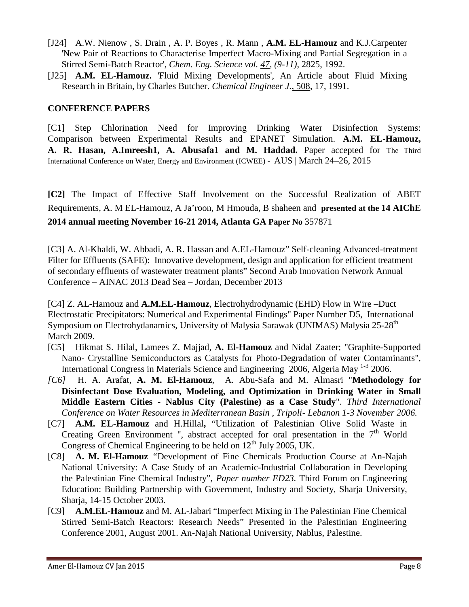- [J24] A.W. Nienow , S. Drain , A. P. Boyes , R. Mann , **A.M. EL-Hamouz** and K.J.Carpenter 'New Pair of Reactions to Characterise Imperfect Macro-Mixing and Partial Segregation in a Stirred Semi-Batch Reactor', *Chem. Eng. Science vol. 47, (9-11)*, 2825, 1992.
- [J25] **A.M. EL-Hamouz.** 'Fluid Mixing Developments', An Article about Fluid Mixing Research in Britain, by Charles Butcher. *Chemical Engineer J.*, 508, 17, 1991.

#### **CONFERENCE PAPERS**

[C1] Step Chlorination Need for Improving Drinking Water Disinfection Systems: Comparison between Experimental Results and EPANET Simulation. **A.M. EL-Hamouz, A. R. Hasan, A.Imreesh1, A. Abusafa1 and M. Haddad.** Paper accepted for The Third International Conference on Water, Energy and Environment (ICWEE) - AUS | March 24–26, 2015

**[C2]** The Impact of Effective Staff Involvement on the Successful Realization of ABET Requirements, A. M EL-Hamouz, A Ja'roon, M Hmouda, B shaheen and **presented at the 14 AIChE 2014 annual meeting November 16-21 2014, Atlanta GA Paper No** 357871

[C3] A. Al-Khaldi, W. Abbadi, A. R. Hassan and A.EL-Hamouz" Self-cleaning Advanced-treatment Filter for Effluents (SAFE): Innovative development, design and application for efficient treatment of secondary effluents of wastewater treatment plants" Second Arab Innovation Network Annual Conference – AINAC 2013 Dead Sea – Jordan, December 2013

[C4] Z. AL-Hamouz and **A.M.EL-Hamouz**, Electrohydrodynamic (EHD) Flow in Wire –Duct Electrostatic Precipitators: Numerical and Experimental Findings" Paper Number D5, International Symposium on Electrohydanamics, University of Malysia Sarawak (UNIMAS) Malysia 25-28<sup>th</sup> March 2009.

- [C5] Hikmat S. Hilal, Lamees Z. Majjad, **A. El-Hamouz** and Nidal Zaater; "Graphite-Supported Nano- Crystalline Semiconductors as Catalysts for Photo-Degradation of water Contaminants", International Congress in Materials Science and Engineering 2006, Algeria May <sup>1-3</sup> 2006.
- *[C6]* H. A. Arafat, **A. M. El-Hamouz**, A. Abu-Safa and M. Almasri "**Methodology for Disinfectant Dose Evaluation, Modeling, and Optimization in Drinking Water in Small Middle Eastern Cities - Nablus City (Palestine) as a Case Study**". *Third International Conference on Water Resources in Mediterranean Basin , Tripoli- Lebanon 1-3 November 2006.*
- [C7] **A.M. EL-Hamouz** and H.Hillal**,** "Utilization of Palestinian Olive Solid Waste in Creating Green Environment ", abstract accepted for oral presentation in the  $7<sup>th</sup>$  World Congress of Chemical Engineering to be held on  $12<sup>th</sup>$  July 2005, UK.
- [C8] **A. M. El-Hamouz** *"*Development of Fine Chemicals Production Course at An-Najah National University: A Case Study of an Academic-Industrial Collaboration in Developing the Palestinian Fine Chemical Industry", *Paper number ED23.* Third Forum on Engineering Education: Building Partnership with Government, Industry and Society, Sharja University, Sharja, 14-15 October 2003.
- [C9] **A.M.EL-Hamouz** and M. AL-Jabari "Imperfect Mixing in The Palestinian Fine Chemical Stirred Semi-Batch Reactors: Research Needs" Presented in the Palestinian Engineering Conference 2001, August 2001. An-Najah National University, Nablus, Palestine.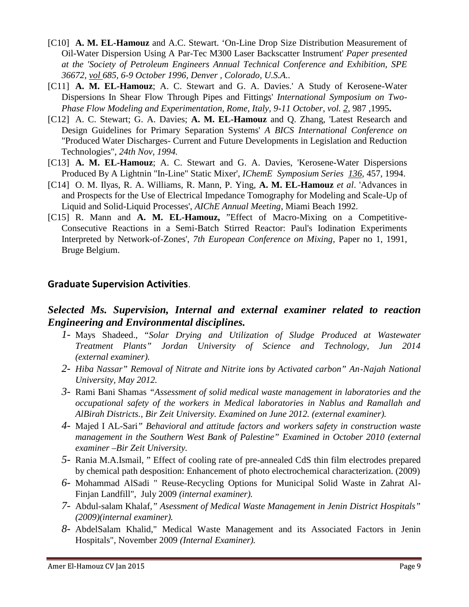- [C10] **A. M. EL-Hamouz** and A.C. Stewart. 'On-Line Drop Size Distribution Measurement of Oil-Water Dispersion Using A Par-Tec M300 Laser Backscatter Instrument' *Paper presented at the 'Society of Petroleum Engineers Annual Technical Conference and Exhibition, SPE 36672, vol 685, 6-9 October 1996, Denver , Colorado, U.S.A..*
- [C11] **A. M. EL-Hamouz**; A. C. Stewart and G. A. Davies.' A Study of Kerosene-Water Dispersions In Shear Flow Through Pipes and Fittings' *International Symposium on Two- Phase Flow Modeling and Experimentation, Rome, Italy, 9-11 October*, *vol. 2,* 987 ,1995**.**
- [C12] A. C. Stewart; G. A. Davies; **A. M. EL-Hamouz** and Q. Zhang, 'Latest Research and Design Guidelines for Primary Separation Systems' *A BICS International Conference on* "Produced Water Discharges- Current and Future Developments in Legislation and Reduction Technologies", *24th Nov, 1994.*
- [C13] **A. M. EL-Hamouz**; A. C. Stewart and G. A. Davies, 'Kerosene-Water Dispersions Produced By A Lightnin "In-Line" Static Mixer', *IChemE Symposium Series 136,* 457, 1994.
- [C14] O. M. Ilyas, R. A. Williams, R. Mann, P. Ying, **A. M. EL-Hamouz** *et al*. 'Advances in and Prospects for the Use of Electrical Impedance Tomography for Modeling and Scale-Up of Liquid and Solid-Liquid Processes', *AIChE Annual Meeting*, Miami Beach 1992.
- [C15] R. Mann and **A. M. EL-Hamouz,** "Effect of Macro-Mixing on a Competitive- Consecutive Reactions in a Semi-Batch Stirred Reactor: Paul's Iodination Experiments Interpreted by Network-of-Zones', *7th European Conference on Mixing*, Paper no 1, 1991, Bruge Belgium.

### **Graduate Supervision Activities**.

# *Selected Ms. Supervision, Internal and external examiner related to reaction Engineering and Environmental disciplines.*

- *1-* Mays Shadeed., "*Solar Drying and Utilization of Sludge Produced at Wastewater Treatment Plants" Jordan University of Science and Technology, Jun 2014 (external examiner).*
- *2- Hiba Nassar" Removal of Nitrate and Nitrite ions by Activated carbon" An-Najah National University, May 2012.*
- *3-* Rami Bani Shamas *"Assessment of solid medical waste management in laboratories and the occupational safety of the workers in Medical laboratories in Nablus and Ramallah and AlBirah Districts., Bir Zeit University. Examined on June 2012. (external examiner).*
- *4-* Majed I AL-Sari*" Behavioral and attitude factors and workers safety in construction waste management in the Southern West Bank of Palestine" Examined in October 2010 (external examiner –Bir Zeit University.*
- *5-* Rania M.A.Ismail, " Effect of cooling rate of pre-annealed CdS thin film electrodes prepared by chemical path desposition: Enhancement of photo electrochemical characterization. (2009)
- *6-* Mohammad AlSadi " Reuse-Recycling Options for Municipal Solid Waste in Zahrat Al- Finjan Landfill", July 2009 *(internal examiner).*
- *7-* Abdul-salam Khalaf,*" Asessment of Medical Waste Management in Jenin District Hospitals" (2009)(internal examiner).*
- *8-* AbdelSalam Khalid," Medical Waste Management and its Associated Factors in Jenin Hospitals", November 2009 *(Internal Examiner).*